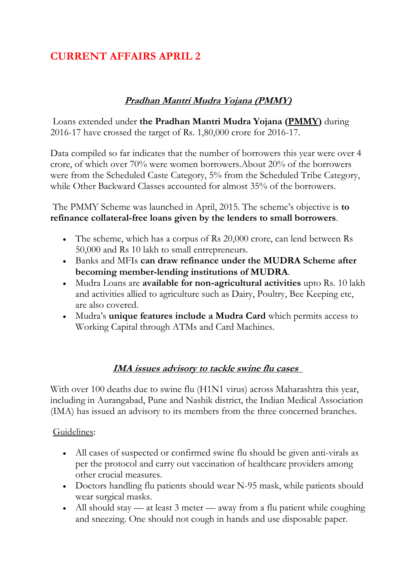# **CURRENT AFFAIRS APRIL 2**

# **Pradhan Mantri Mudra Yojana (PMMY)**

Loans extended under **the Pradhan Mantri Mudra Yojana [\(PMMY\)](http://www.mudra.org.in/)** during 2016-17 have crossed the target of Rs. 1,80,000 crore for 2016-17.

Data compiled so far indicates that the number of borrowers this year were over 4 crore, of which over 70% were women borrowers.About 20% of the borrowers were from the Scheduled Caste Category, 5% from the Scheduled Tribe Category, while Other Backward Classes accounted for almost 35% of the borrowers.

The PMMY Scheme was launched in April, 2015. The scheme's objective is **to refinance collateral-free loans given by the lenders to small borrowers**.

- The scheme, which has a corpus of Rs 20,000 crore, can lend between Rs 50,000 and Rs 10 lakh to small entrepreneurs.
- Banks and MFIs **can draw refinance under the MUDRA Scheme after becoming member-lending institutions of MUDRA**.
- Mudra Loans are **available for non-agricultural activities** upto Rs. 10 lakh and activities allied to agriculture such as Dairy, Poultry, Bee Keeping etc, are also covered.
- Mudra's **unique features include a Mudra Card** which permits access to Working Capital through ATMs and Card Machines.

# **IMA issues advisory to tackle swine flu cases**

With over 100 deaths due to swine flu (H1N1 virus) across Maharashtra this year, including in Aurangabad, Pune and Nashik district, the Indian Medical Association (IMA) has issued an advisory to its members from the three concerned branches.

#### Guidelines:

- All cases of suspected or confirmed swine flu should be given anti-virals as per the protocol and carry out vaccination of healthcare providers among other crucial measures.
- Doctors handling flu patients should wear N-95 mask, while patients should wear surgical masks.
- All should stay at least 3 meter away from a flu patient while coughing and sneezing. One should not cough in hands and use disposable paper.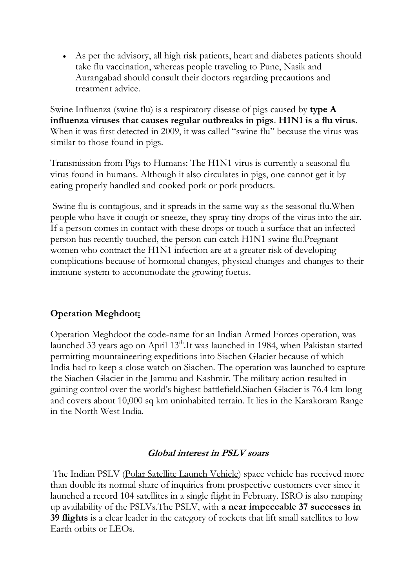As per the advisory, all high risk patients, heart and diabetes patients should take flu vaccination, whereas people traveling to Pune, Nasik and Aurangabad should consult their doctors regarding precautions and treatment advice.

Swine Influenza (swine flu) is a respiratory disease of pigs caused by **type A influenza viruses that causes regular outbreaks in pigs**. **H1N1 is a flu virus**. When it was first detected in 2009, it was called "swine flu" because the virus was similar to those found in pigs.

Transmission from Pigs to Humans: The H1N1 virus is currently a seasonal flu virus found in humans. Although it also circulates in pigs, one cannot get it by eating properly handled and cooked pork or pork products.

Swine flu is contagious, and it spreads in the same way as the seasonal flu.When people who have it cough or sneeze, they spray tiny drops of the virus into the air. If a person comes in contact with these drops or touch a surface that an infected person has recently touched, the person can catch H1N1 swine flu.Pregnant women who contract the H1N1 infection are at a greater risk of developing complications because of hormonal changes, physical changes and changes to their immune system to accommodate the growing foetus.

#### **Operation Meghdoot:**

Operation Meghdoot the code-name for an Indian Armed Forces operation, was launched 33 years ago on April 13<sup>th</sup>.It was launched in 1984, when Pakistan started permitting mountaineering expeditions into Siachen Glacier because of which India had to keep a close watch on Siachen. The operation was launched to capture the Siachen Glacier in the Jammu and Kashmir. The military action resulted in gaining control over the world's highest battlefield.Siachen Glacier is 76.4 km long and covers about 10,000 sq km uninhabited terrain. It lies in the Karakoram Range in the North West India.

#### **Global interest in PSLV soars**

The Indian PSLV [\(Polar Satellite Launch Vehicle\)](http://www.isro.gov.in/launchers/pslv) space vehicle has received more than double its normal share of inquiries from prospective customers ever since it launched a record 104 satellites in a single flight in February. ISRO is also ramping up availability of the PSLVs.The PSLV, with **a near impeccable 37 successes in 39 flights** is a clear leader in the category of rockets that lift small satellites to low Earth orbits or LEOs.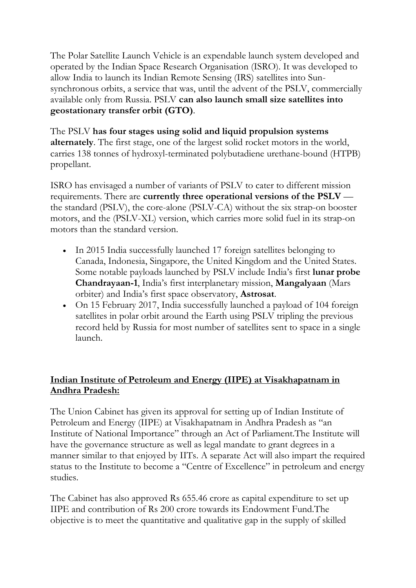The Polar Satellite Launch Vehicle is an expendable launch system developed and operated by the Indian Space Research Organisation (ISRO). It was developed to allow India to launch its Indian Remote Sensing (IRS) satellites into Sunsynchronous orbits, a service that was, until the advent of the PSLV, commercially available only from Russia. PSLV **can also launch small size satellites into geostationary transfer orbit (GTO)**.

The PSLV **has four stages using solid and liquid propulsion systems alternately**. The first stage, one of the largest solid rocket motors in the world, carries 138 tonnes of hydroxyl-terminated polybutadiene urethane-bound (HTPB) propellant.

ISRO has envisaged a number of variants of PSLV to cater to different mission requirements. There are **currently three operational versions of the PSLV** the standard (PSLV), the core-alone (PSLV-CA) without the six strap-on booster motors, and the (PSLV-XL) version, which carries more solid fuel in its strap-on motors than the standard version.

- In 2015 India successfully launched 17 foreign satellites belonging to Canada, Indonesia, Singapore, the United Kingdom and the United States. Some notable payloads launched by PSLV include India's first **lunar probe Chandrayaan-1**, India's first interplanetary mission, **Mangalyaan** (Mars orbiter) and India's first space observatory, **Astrosat**.
- On 15 February 2017, India successfully launched a payload of 104 foreign satellites in polar orbit around the Earth using PSLV tripling the previous record held by Russia for most number of satellites sent to space in a single launch.

# **Indian Institute of Petroleum and Energy (IIPE) at Visakhapatnam in Andhra Pradesh:**

The Union Cabinet has given its approval for setting up of Indian Institute of Petroleum and Energy (IIPE) at Visakhapatnam in Andhra Pradesh as "an Institute of National Importance" through an Act of Parliament.The Institute will have the governance structure as well as legal mandate to grant degrees in a manner similar to that enjoyed by IITs. A separate Act will also impart the required status to the Institute to become a "Centre of Excellence" in petroleum and energy studies.

The Cabinet has also approved Rs 655.46 crore as capital expenditure to set up IIPE and contribution of Rs 200 crore towards its Endowment Fund.The objective is to meet the quantitative and qualitative gap in the supply of skilled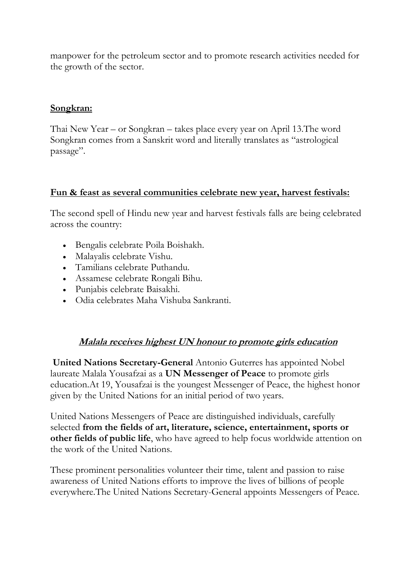manpower for the petroleum sector and to promote research activities needed for the growth of the sector.

#### **Songkran:**

Thai New Year – or Songkran – takes place every year on April 13.The word Songkran comes from a Sanskrit word and literally translates as "astrological passage".

#### **Fun & feast as several communities celebrate new year, harvest festivals:**

The second spell of Hindu new year and harvest festivals falls are being celebrated across the country:

- Bengalis celebrate Poila Boishakh.
- Malayalis celebrate Vishu.
- Tamilians celebrate Puthandu.
- Assamese celebrate Rongali Bihu.
- Punjabis celebrate Baisakhi.
- Odia celebrates Maha Vishuba Sankranti.

#### **Malala receives highest UN honour to promote girls education**

**United Nations Secretary-General** Antonio Guterres has appointed Nobel laureate Malala Yousafzai as a **UN Messenger of Peace** to promote girls education.At 19, Yousafzai is the youngest Messenger of Peace, the highest honor given by the United Nations for an initial period of two years.

United Nations Messengers of Peace are distinguished individuals, carefully selected **from the fields of art, literature, science, entertainment, sports or other fields of public life**, who have agreed to help focus worldwide attention on the work of the United Nations.

These prominent personalities volunteer their time, talent and passion to raise awareness of United Nations efforts to improve the lives of billions of people everywhere.The United Nations Secretary-General appoints Messengers of Peace.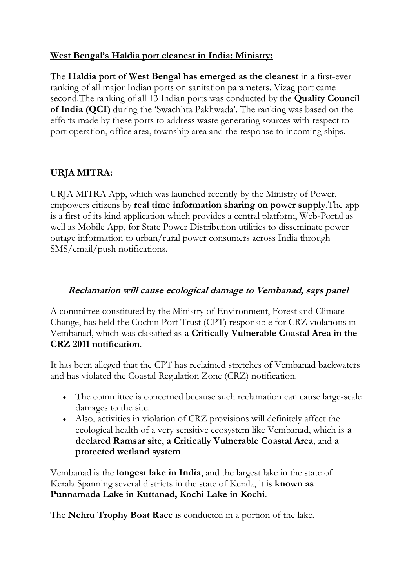## **West Bengal's Haldia port cleanest in India: Ministry:**

The **Haldia port of West Bengal has emerged as the cleanest** in a first-ever ranking of all major Indian ports on sanitation parameters. Vizag port came second.The ranking of all 13 Indian ports was conducted by the **Quality Council of India (QCI)** during the 'Swachhta Pakhwada'. The ranking was based on the efforts made by these ports to address waste generating sources with respect to port operation, office area, township area and the response to incoming ships.

# **URJA MITRA:**

URJA MITRA App, which was launched recently by the Ministry of Power, empowers citizens by **real time information sharing on power supply**.The app is a first of its kind application which provides a central platform, Web-Portal as well as Mobile App, for State Power Distribution utilities to disseminate power outage information to urban/rural power consumers across India through SMS/email/push notifications.

## **Reclamation will cause ecological damage to Vembanad, says panel**

A committee constituted by the Ministry of Environment, Forest and Climate Change, has held the Cochin Port Trust (CPT) responsible for CRZ violations in Vembanad, which was classified as **a Critically Vulnerable Coastal Area in the CRZ 2011 notification**.

It has been alleged that the CPT has reclaimed stretches of Vembanad backwaters and has violated the Coastal Regulation Zone (CRZ) notification.

- The committee is concerned because such reclamation can cause large-scale damages to the site.
- Also, activities in violation of CRZ provisions will definitely affect the ecological health of a very sensitive ecosystem like Vembanad, which is **a declared Ramsar site**, **a Critically Vulnerable Coastal Area**, and **a protected wetland system**.

Vembanad is the **longest lake in India**, and the largest lake in the state of Kerala.Spanning several districts in the state of Kerala, it is **known as Punnamada Lake in Kuttanad, Kochi Lake in Kochi**.

The **Nehru Trophy Boat Race** is conducted in a portion of the lake.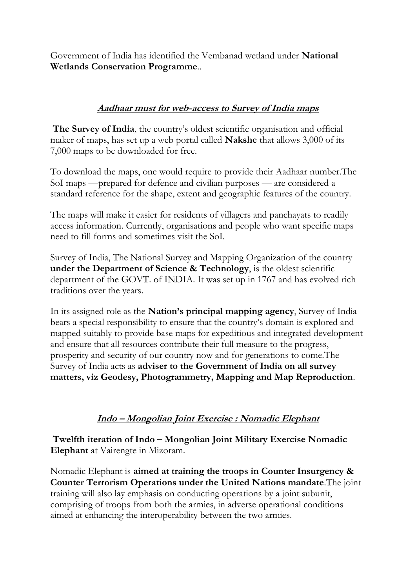Government of India has identified the Vembanad wetland under **National Wetlands Conservation Programme**..

## **Aadhaar must for web-access to Survey of India maps**

**[The Survey of India](http://www.surveyofindia.gov.in/)**, the country's oldest scientific organisation and official maker of maps, has set up a web portal called **Nakshe** that allows 3,000 of its 7,000 maps to be downloaded for free.

To download the maps, one would require to provide their Aadhaar number.The SoI maps —prepared for defence and civilian purposes — are considered a standard reference for the shape, extent and geographic features of the country.

The maps will make it easier for residents of villagers and panchayats to readily access information. Currently, organisations and people who want specific maps need to fill forms and sometimes visit the SoI.

Survey of India, The National Survey and Mapping Organization of the country **under the Department of Science & Technology**, is the oldest scientific department of the GOVT. of INDIA. It was set up in 1767 and has evolved rich traditions over the years.

In its assigned role as the **Nation's principal mapping agency**, Survey of India bears a special responsibility to ensure that the country's domain is explored and mapped suitably to provide base maps for expeditious and integrated development and ensure that all resources contribute their full measure to the progress, prosperity and security of our country now and for generations to come.The Survey of India acts as **adviser to the Government of India on all survey matters, viz Geodesy, Photogrammetry, Mapping and Map Reproduction**.

# **Indo – Mongolian Joint Exercise : Nomadic Elephant**

**Twelfth iteration of Indo – Mongolian Joint Military Exercise Nomadic Elephant** at Vairengte in Mizoram.

Nomadic Elephant is **aimed at training the troops in Counter Insurgency & Counter Terrorism Operations under the United Nations mandate**.The joint training will also lay emphasis on conducting operations by a joint subunit, comprising of troops from both the armies, in adverse operational conditions aimed at enhancing the interoperability between the two armies.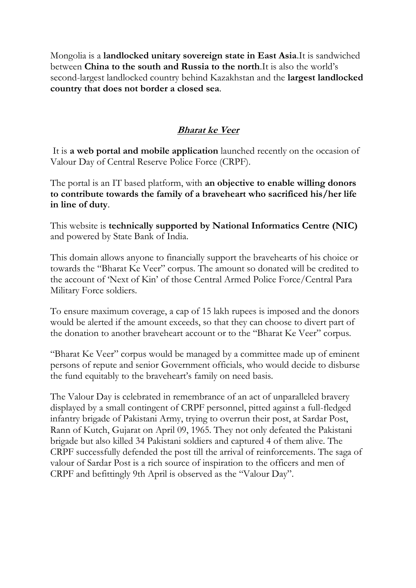Mongolia is a **landlocked unitary sovereign state in East Asia**.It is sandwiched between **China to the south and Russia to the north**.It is also the world's second-largest landlocked country behind Kazakhstan and the **largest landlocked country that does not border a closed sea**.

## **Bharat ke Veer**

It is **a web portal and mobile application** launched recently on the occasion of Valour Day of Central Reserve Police Force (CRPF).

The portal is an IT based platform, with **an objective to enable willing donors to contribute towards the family of a braveheart who sacrificed his/her life in line of duty**.

This website is **technically supported by National Informatics Centre (NIC)** and powered by State Bank of India.

This domain allows anyone to financially support the bravehearts of his choice or towards the "Bharat Ke Veer" corpus. The amount so donated will be credited to the account of 'Next of Kin' of those Central Armed Police Force/Central Para Military Force soldiers.

To ensure maximum coverage, a cap of 15 lakh rupees is imposed and the donors would be alerted if the amount exceeds, so that they can choose to divert part of the donation to another braveheart account or to the "Bharat Ke Veer" corpus.

"Bharat Ke Veer" corpus would be managed by a committee made up of eminent persons of repute and senior Government officials, who would decide to disburse the fund equitably to the braveheart's family on need basis.

The Valour Day is celebrated in remembrance of an act of unparalleled bravery displayed by a small contingent of CRPF personnel, pitted against a full-fledged infantry brigade of Pakistani Army, trying to overrun their post, at Sardar Post, Rann of Kutch, Gujarat on April 09, 1965. They not only defeated the Pakistani brigade but also killed 34 Pakistani soldiers and captured 4 of them alive. The CRPF successfully defended the post till the arrival of reinforcements. The saga of valour of Sardar Post is a rich source of inspiration to the officers and men of CRPF and befittingly 9th April is observed as the "Valour Day".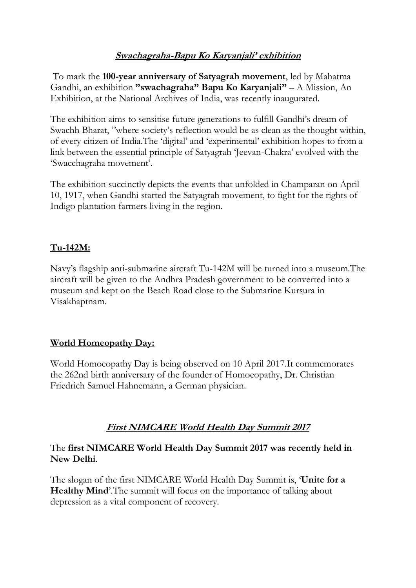# **Swachagraha-Bapu Ko Karyanjali' exhibition**

To mark the **100-year anniversary of Satyagrah movement**, led by Mahatma Gandhi, an exhibition **"swachagraha" Bapu Ko Karyanjali"** – A Mission, An Exhibition, at the National Archives of India, was recently inaugurated.

The exhibition aims to sensitise future generations to fulfill Gandhi's dream of Swachh Bharat, "where society's reflection would be as clean as the thought within, of every citizen of India.The 'digital' and 'experimental' exhibition hopes to from a link between the essential principle of Satyagrah 'Jeevan-Chakra' evolved with the 'Swacchagraha movement'.

The exhibition succinctly depicts the events that unfolded in Champaran on April 10, 1917, when Gandhi started the Satyagrah movement, to fight for the rights of Indigo plantation farmers living in the region.

# **Tu-142M:**

Navy's flagship anti-submarine aircraft Tu-142M will be turned into a museum.The aircraft will be given to the Andhra Pradesh government to be converted into a museum and kept on the Beach Road close to the Submarine Kursura in Visakhaptnam.

#### **World Homeopathy Day:**

World Homoeopathy Day is being observed on 10 April 2017.It commemorates the 262nd birth anniversary of the founder of Homoeopathy, Dr. Christian Friedrich Samuel Hahnemann, a German physician.

# **First NIMCARE World Health Day Summit 2017**

#### The **first NIMCARE World Health Day Summit 2017 was recently held in New Delhi**.

The slogan of the first NIMCARE World Health Day Summit is, '**Unite for a Healthy Mind**'.The summit will focus on the importance of talking about depression as a vital component of recovery.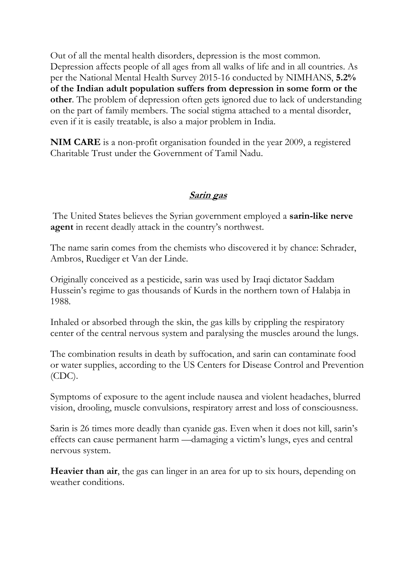Out of all the mental health disorders, depression is the most common. Depression affects people of all ages from all walks of life and in all countries. As per the National Mental Health Survey 2015-16 conducted by NIMHANS, **5.2% of the Indian adult population suffers from depression in some form or the other**. The problem of depression often gets ignored due to lack of understanding on the part of family members. The social stigma attached to a mental disorder, even if it is easily treatable, is also a major problem in India.

**NIM CARE** is a non-profit organisation founded in the year 2009, a registered Charitable Trust under the Government of Tamil Nadu.

#### **Sarin gas**

The United States believes the Syrian government employed a **sarin-like nerve agent** in recent deadly attack in the country's northwest.

The name sarin comes from the chemists who discovered it by chance: Schrader, Ambros, Ruediger et Van der Linde.

Originally conceived as a pesticide, sarin was used by Iraqi dictator Saddam Hussein's regime to gas thousands of Kurds in the northern town of Halabja in 1988.

Inhaled or absorbed through the skin, the gas kills by crippling the respiratory center of the central nervous system and paralysing the muscles around the lungs.

The combination results in death by suffocation, and sarin can contaminate food or water supplies, according to the US Centers for Disease Control and Prevention (CDC).

Symptoms of exposure to the agent include nausea and violent headaches, blurred vision, drooling, muscle convulsions, respiratory arrest and loss of consciousness.

Sarin is 26 times more deadly than cyanide gas. Even when it does not kill, sarin's effects can cause permanent harm —damaging a victim's lungs, eyes and central nervous system.

**Heavier than air**, the gas can linger in an area for up to six hours, depending on weather conditions.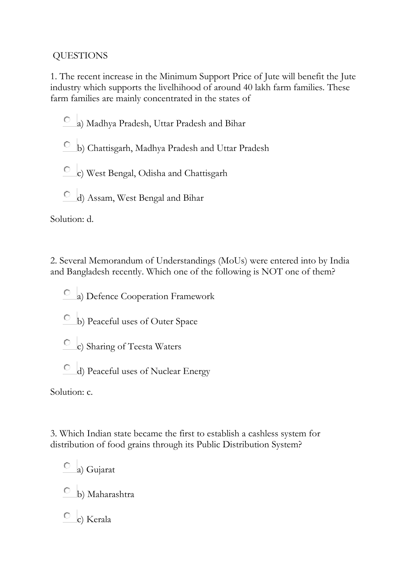## QUESTIONS

1. The recent increase in the Minimum Support Price of Jute will benefit the Jute industry which supports the livelhihood of around 40 lakh farm families. These farm families are mainly concentrated in the states of

- a) Madhya Pradesh, Uttar Pradesh and Bihar
- b) Chattisgarh, Madhya Pradesh and Uttar Pradesh
- c) West Bengal, Odisha and Chattisgarh
- d) Assam, West Bengal and Bihar

Solution: d.

2. Several Memorandum of Understandings (MoUs) were entered into by India and Bangladesh recently. Which one of the following is NOT one of them?

a) Defence Cooperation Framework

- b) Peaceful uses of Outer Space
- c) Sharing of Teesta Waters
- d) Peaceful uses of Nuclear Energy

Solution: c.

3. Which Indian state became the first to establish a cashless system for distribution of food grains through its Public Distribution System?

a) Gujarat

b) Maharashtra

c) Kerala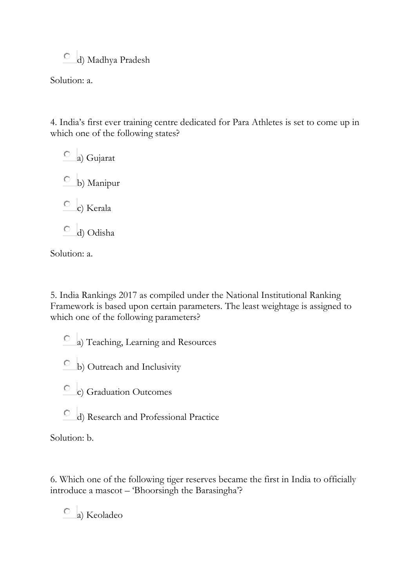d) Madhya Pradesh

Solution: a.

4. India's first ever training centre dedicated for Para Athletes is set to come up in which one of the following states?

a) Gujarat b) Manipur c) Kerala d) Odisha

Solution: a.

5. India Rankings 2017 as compiled under the National Institutional Ranking Framework is based upon certain parameters. The least weightage is assigned to which one of the following parameters?

a) Teaching, Learning and Resources

b) Outreach and Inclusivity

- c) Graduation Outcomes
- $\bigcirc$ d) Research and Professional Practice

Solution: b.

6. Which one of the following tiger reserves became the first in India to officially introduce a mascot – 'Bhoorsingh the Barasingha'?

a) Keoladeo